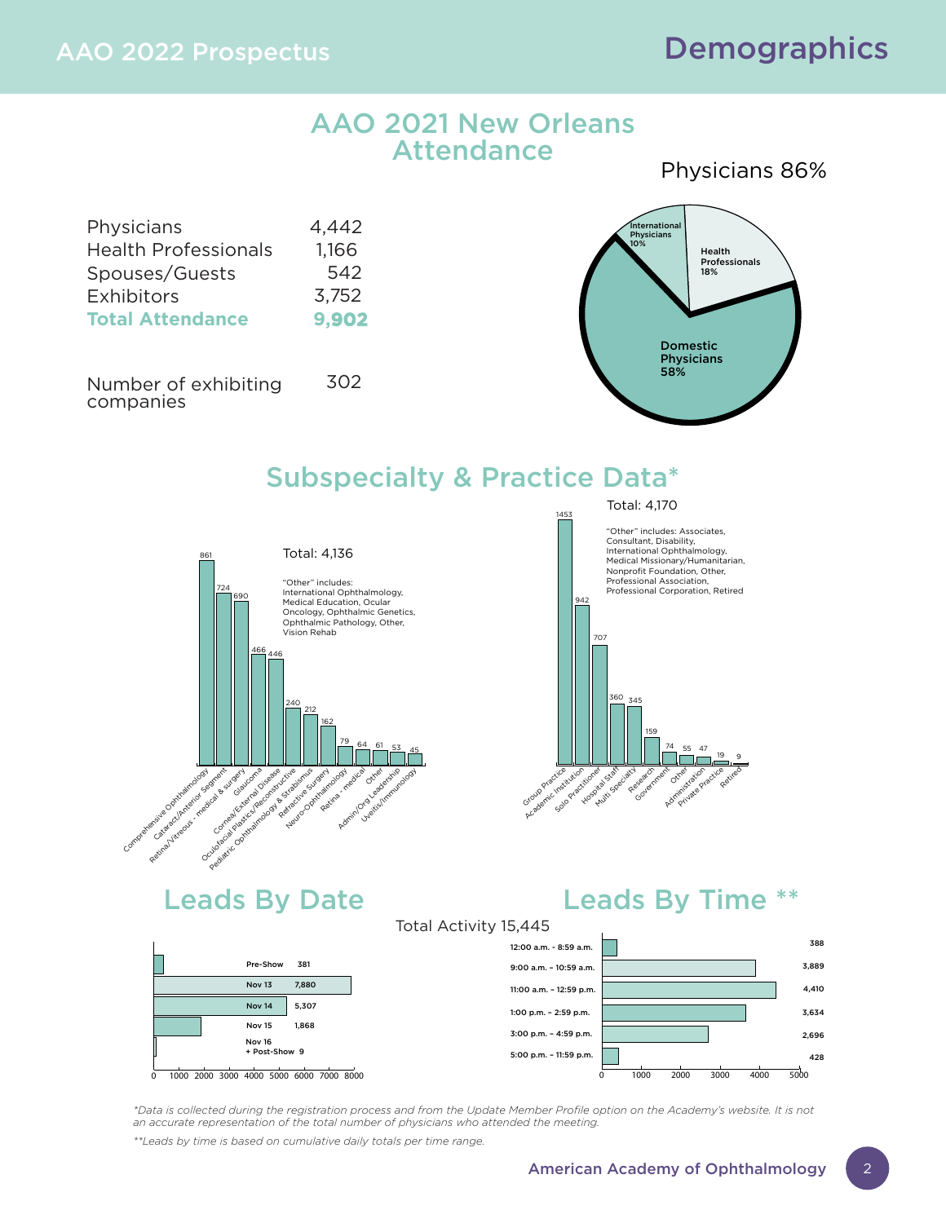### AAO 2021 New Orleans **Attendance**

4,442 1,166 542 3,752 **9,902** Physicians Health Professionals Spouses/Guests **Exhibitors Total Attendance**

Number of exhibiting companies 302

### Physicians 86%



## Subspecialty & Practice Data\*



### "Other" includes: Associates, Total: 4,170

1453





## Leads By Date **Leads By Time \*\***

Total Activity 15,445



*\*Data is collected during the registration process and from the Update Member Profile option on the Academy's website. It is not an accurate representation of the total number of physicians who attended the meeting. \*\*Leads by time is based on cumulative daily totals per time range.*